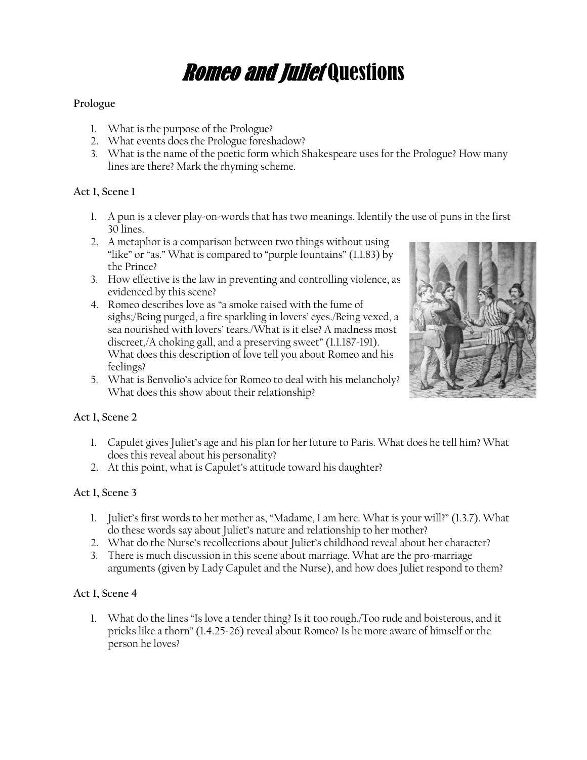# *Romeo and Juliet* Questions

# **Prologue**

- 1. What is the purpose of the Prologue?
- 2. What events does the Prologue foreshadow?
- 3. What is the name of the poetic form which Shakespeare uses for the Prologue? How many lines are there? Mark the rhyming scheme.

#### **Act 1, Scene 1**

- 1. A pun is a clever play-on-words that has two meanings. Identify the use of puns in the first 30 lines.
- 2. A metaphor is a comparison between two things without using "like" or "as." What is compared to "purple fountains" (1.1.83) by the Prince?
- 3. How effective is the law in preventing and controlling violence, as evidenced by this scene?
- 4. Romeo describes love as "a smoke raised with the fume of sighs;/Being purged, a fire sparkling in lovers' eyes./Being vexed, a sea nourished with lovers' tears./What is it else? A madness most discreet,/A choking gall, and a preserving sweet" (1.1.187-191). What does this description of love tell you about Romeo and his feelings?
- 5. What is Benvolio's advice for Romeo to deal with his melancholy? What does this show about their relationship?



#### **Act 1, Scene 2**

- 1. Capulet gives Juliet's age and his plan for her future to Paris. What does he tell him? What does this reveal about his personality?
- 2. At this point, what is Capulet's attitude toward his daughter?

# **Act 1, Scene 3**

- 1. Juliet's first words to her mother as, "Madame, I am here. What is your will?" (1.3.7). What do these words say about Juliet's nature and relationship to her mother?
- 2. What do the Nurse's recollections about Juliet's childhood reveal about her character?
- 3. There is much discussion in this scene about marriage. What are the pro-marriage arguments (given by Lady Capulet and the Nurse), and how does Juliet respond to them?

#### **Act 1, Scene 4**

1. What do the lines "Is love a tender thing? Is it too rough,/Too rude and boisterous, and it pricks like a thorn" (1.4.25-26) reveal about Romeo? Is he more aware of himself or the person he loves?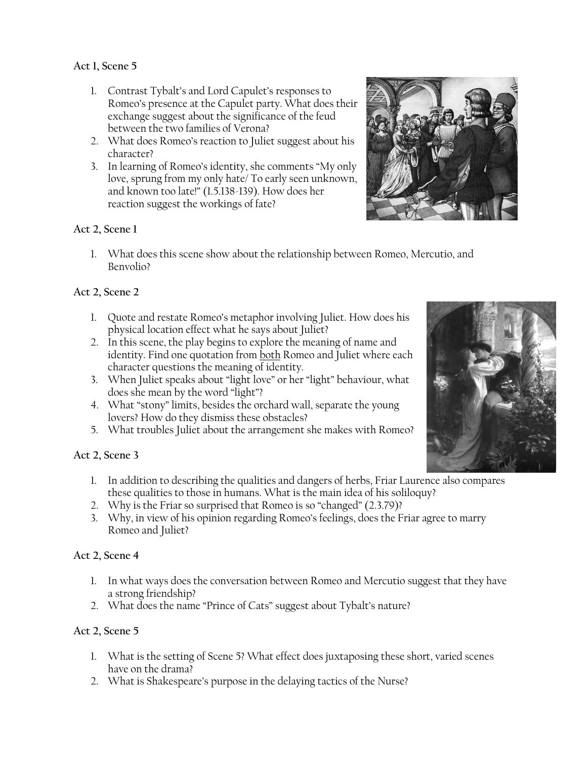# **Act 1, Scene 5**

- 1. Contrast Tybalt's and Lord Capulet's responses to Romeo's presence at the Capulet party. What does their exchange suggest about the significance of the feud between the two families of Verona?
- 2. What does Romeo's reaction to Juliet suggest about his character?
- 3. In learning of Romeo's identity, she comments "My only love, sprung from my only hate/ To early seen unknown, and known too late!" (1.5.138-139). How does her reaction suggest the workings of fate?

### **Act 2, Scene 1**

1. What does this scene show about the relationship between Romeo, Mercutio, and Benvolio?

# **Act 2, Scene 2**

- 1. Quote and restate Romeo's metaphor involving Juliet. How does his physical location effect what he says about Juliet?
- 2. In this scene, the play begins to explore the meaning of name and identity. Find one quotation from both Romeo and Juliet where each character questions the meaning of identity.
- 3. When Juliet speaks about "light love" or her "light" behaviour, what does she mean by the word "light"?
- 4. What "stony" limits, besides the orchard wall, separate the young lovers? How do they dismiss these obstacles?
- 5. What troubles Juliet about the arrangement she makes with Romeo?

#### **Act 2, Scene 3**

- 1. In addition to describing the qualities and dangers of herbs, Friar Laurence also compares these qualities to those in humans. What is the main idea of his soliloquy?
- 2. Why is the Friar so surprised that Romeo is so "changed" (2.3.79)?
- 3. Why, in view of his opinion regarding Romeo's feelings, does the Friar agree to marry Romeo and Juliet?

#### **Act 2, Scene 4**

- 1. In what ways does the conversation between Romeo and Mercutio suggest that they have a strong friendship?
- 2. What does the name "Prince of Cats" suggest about Tybalt's nature?

#### **Act 2, Scene 5**

- 1. What is the setting of Scene 5? What effect does juxtaposing these short, varied scenes have on the drama?
- 2. What is Shakespeare's purpose in the delaying tactics of the Nurse?



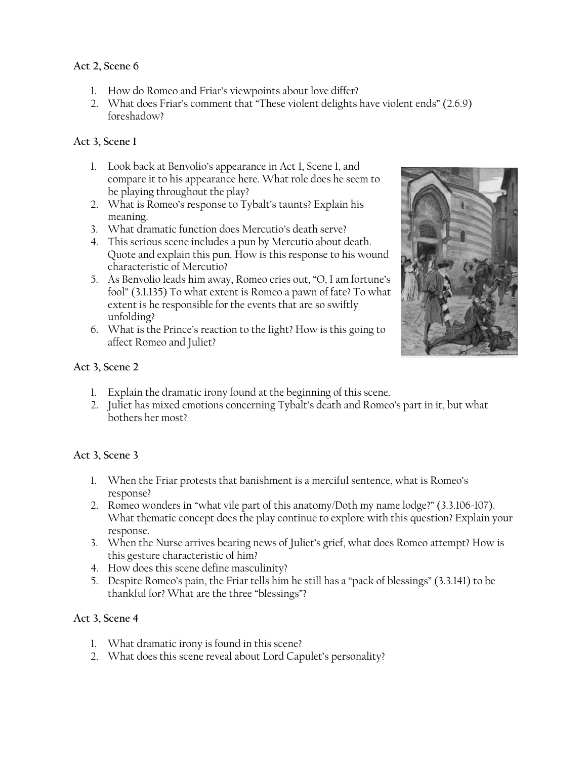# **Act 2, Scene 6**

- 1. How do Romeo and Friar's viewpoints about love differ?
- 2. What does Friar's comment that "These violent delights have violent ends" (2.6.9) foreshadow?

# **Act 3, Scene 1**

- 1. Look back at Benvolio's appearance in Act 1, Scene 1, and compare it to his appearance here. What role does he seem to be playing throughout the play?
- 2. What is Romeo's response to Tybalt's taunts? Explain his meaning.
- 3. What dramatic function does Mercutio's death serve?
- 4. This serious scene includes a pun by Mercutio about death. Quote and explain this pun. How is this response to his wound characteristic of Mercutio?
- 5. As Benvolio leads him away, Romeo cries out, "O, I am fortune's fool" (3.1.135) To what extent is Romeo a pawn of fate? To what extent is he responsible for the events that are so swiftly unfolding?
- 6. What is the Prince's reaction to the fight? How is this going to affect Romeo and Juliet?



### **Act 3, Scene 2**

- 1. Explain the dramatic irony found at the beginning of this scene.
- 2. Juliet has mixed emotions concerning Tybalt's death and Romeo's part in it, but what bothers her most?

#### **Act 3, Scene 3**

- 1. When the Friar protests that banishment is a merciful sentence, what is Romeo's response?
- 2. Romeo wonders in "what vile part of this anatomy/Doth my name lodge?" (3.3.106-107). What thematic concept does the play continue to explore with this question? Explain your response.
- 3. When the Nurse arrives bearing news of Juliet's grief, what does Romeo attempt? How is this gesture characteristic of him?
- 4. How does this scene define masculinity?
- 5. Despite Romeo's pain, the Friar tells him he still has a "pack of blessings" (3.3.141) to be thankful for? What are the three "blessings"?

#### **Act 3, Scene 4**

- 1. What dramatic irony is found in this scene?
- 2. What does this scene reveal about Lord Capulet's personality?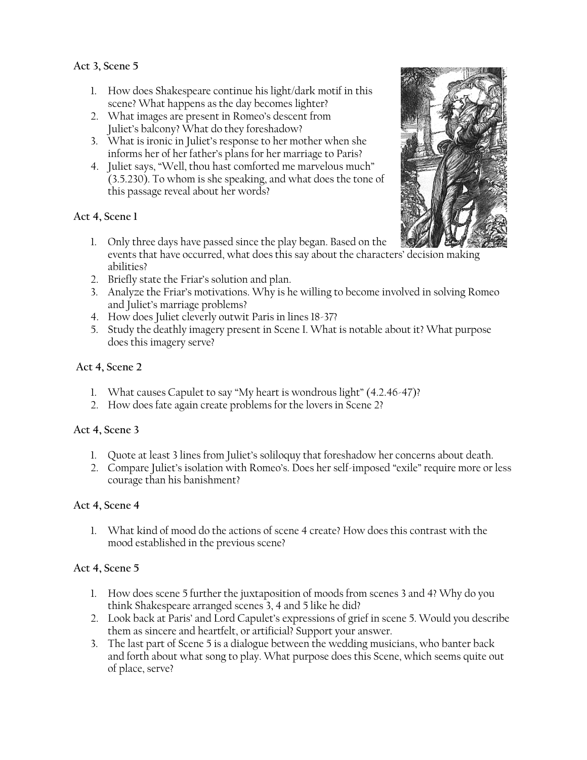**Act 3, Scene 5**

- 1. How does Shakespeare continue his light/dark motif in this scene? What happens as the day becomes lighter?
- 2. What images are present in Romeo's descent from Juliet's balcony? What do they foreshadow?
- 3. What is ironic in Juliet's response to her mother when she informs her of her father's plans for her marriage to Paris?
- 4. Juliet says, "Well, thou hast comforted me marvelous much" (3.5.230). To whom is she speaking, and what does the tone of this passage reveal about her words?

# **Act 4, Scene 1**

- 1. Only three days have passed since the play began. Based on the events that have occurred, what does this say about the characters' decision making abilities?
- 2. Briefly state the Friar's solution and plan.
- 3. Analyze the Friar's motivations. Why is he willing to become involved in solving Romeo and Juliet's marriage problems?
- 4. How does Juliet cleverly outwit Paris in lines 18-37?
- 5. Study the deathly imagery present in Scene I. What is notable about it? What purpose does this imagery serve?

# **Act 4, Scene 2**

- 1. What causes Capulet to say "My heart is wondrous light" (4.2.46-47)?
- 2. How does fate again create problems for the lovers in Scene 2?

# **Act 4, Scene 3**

- 1. Quote at least 3 lines from Juliet's soliloquy that foreshadow her concerns about death.
- 2. Compare Juliet's isolation with Romeo's. Does her self-imposed "exile" require more or less courage than his banishment?

# **Act 4, Scene 4**

1. What kind of mood do the actions of scene 4 create? How does this contrast with the mood established in the previous scene?

# **Act 4, Scene 5**

- 1. How does scene 5 further the juxtaposition of moods from scenes 3 and 4? Why do you think Shakespeare arranged scenes 3, 4 and 5 like he did?
- 2. Look back at Paris' and Lord Capulet's expressions of grief in scene 5. Would you describe them as sincere and heartfelt, or artificial? Support your answer.
- 3. The last part of Scene 5 is a dialogue between the wedding musicians, who banter back and forth about what song to play. What purpose does this Scene, which seems quite out of place, serve?

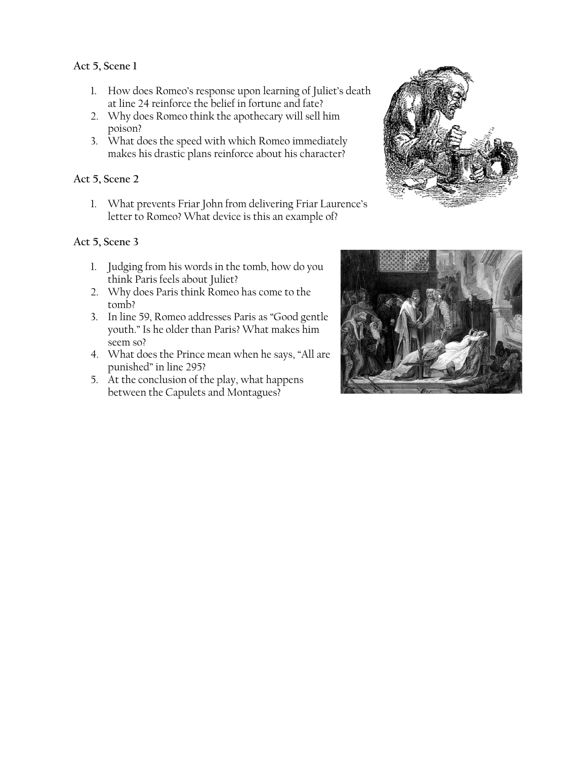#### **Act 5, Scene 1**

- 1. How does Romeo's response upon learning of Juliet's death at line 24 reinforce the belief in fortune and fate?
- 2. Why does Romeo think the apothecary will sell him poison?
- 3. What does the speed with which Romeo immediately makes his drastic plans reinforce about his character?

# **Act 5, Scene 2**

1. What prevents Friar John from delivering Friar Laurence's letter to Romeo? What device is this an example of?

#### **Act 5, Scene 3**

- 1. Judging from his words in the tomb, how do you think Paris feels about Juliet?
- 2. Why does Paris think Romeo has come to the tomb?
- 3. In line 59, Romeo addresses Paris as "Good gentle youth." Is he older than Paris? What makes him seem so?
- 4. What does the Prince mean when he says, "All are punished" in line 295?
- 5. At the conclusion of the play, what happens between the Capulets and Montagues?